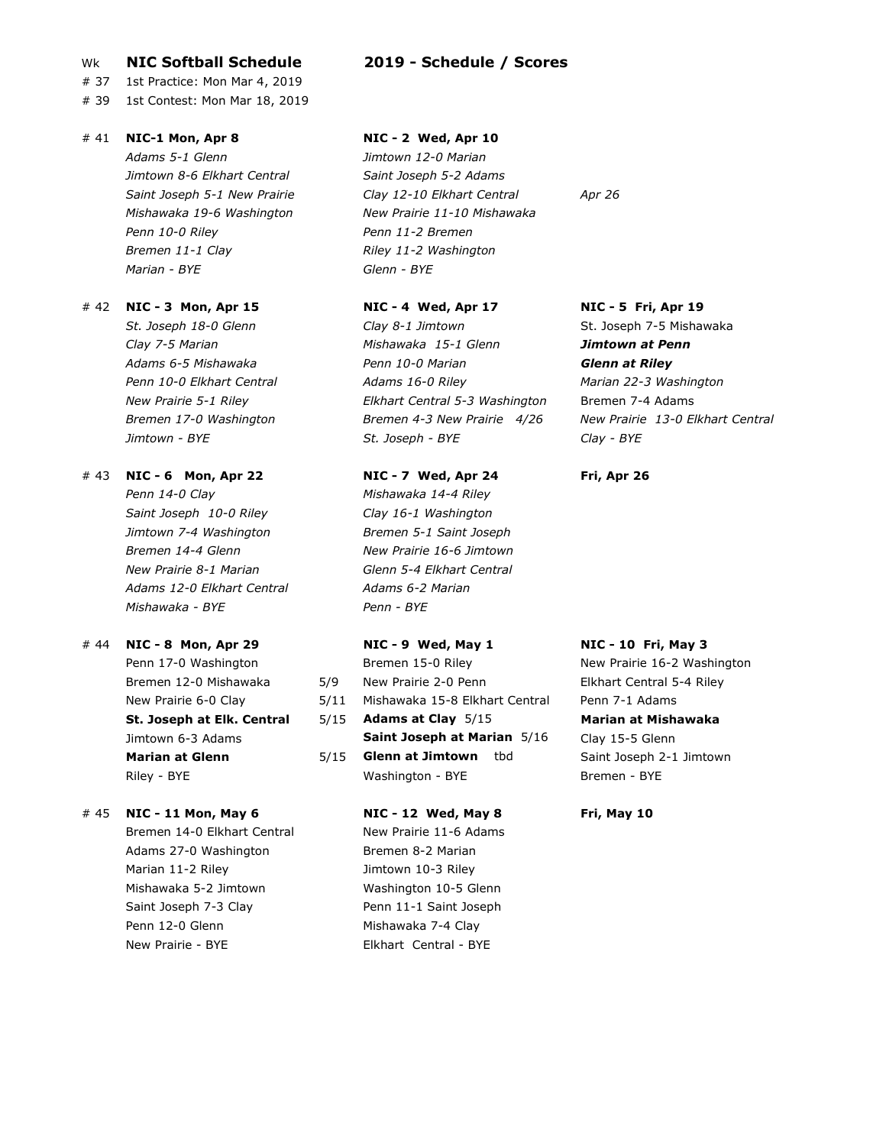## Wk NIC Softball Schedule 2019 - Schedule / Scores

# 37 1st Practice: Mon Mar 4, 2019

# 39 1st Contest: Mon Mar 18, 2019

# # 41 NIC-1 Mon, Apr 8 NIC - 2 Wed, Apr 10

Adams 5-1 Glenn Jimtown 12-0 Marian Jimtown 8-6 Elkhart Central Saint Joseph 5-2 Adams Penn 10-0 Riley Penn 11-2 Bremen Bremen 11-1 Clay Riley 11-2 Washington Marian - BYE Glenn - BYE

# # 42 NIC - 3 Mon, Apr 15 NIC - 4 Wed, Apr 17 NIC - 5 Fri, Apr 19

# # 43 NIC - 6 Mon, Apr 22 NIC - 7 Wed, Apr 24 Fri, Apr 26

Penn 14-0 Clay Mishawaka 14-4 Riley Saint Joseph 10-0 Riley Clay 16-1 Washington Jimtown 7-4 Washington Bremen 5-1 Saint Joseph Bremen 14-4 Glenn New Prairie 16-6 Jimtown New Prairie 8-1 Marian Christian Colenn 5-4 Elkhart Central Adams 12-0 Elkhart Central Madams 6-2 Marian Mishawaka - BYE Penn - BYE

# # 44 NIC - 8 Mon, Apr 29 NIC - 9 Wed, May 1 NIC - 10 Fri, May 3

# # 45 NIC - 11 Mon, May 6 NIC - 12 Wed, May 8 Fri, May 10

Bremen 14-0 Elkhart Central New Prairie 11-6 Adams Adams 27-0 Washington Bremen 8-2 Marian Marian 11-2 Riley **Jimtown 10-3 Riley** Mishawaka 5-2 Jimtown Washington 10-5 Glenn Saint Joseph 7-3 Clay Penn 11-1 Saint Joseph Penn 12-0 Glenn Mishawaka 7-4 Clay New Prairie - BYE **Elkhart Central - BYE** 

Saint Joseph 5-1 New Prairie **Clay 12-10 Elkhart Central** Apr 26 Mishawaka 19-6 Washington New Prairie 11-10 Mishawaka

St. Joseph 18-0 Glenn Clay 8-1 Jimtown St. Joseph 7-5 Mishawaka Clay 7-5 Marian **Mishawaka 15-1 Glenn** Jimtown at Penn Adams 6-5 Mishawaka **Penn 10-0 Marian Casa Carabatan Glenn at Riley** Penn 10-0 Elkhart Central **Marian Adams 16-0 Riley** Marian 22-3 Washington New Prairie 5-1 Riley **Elkhart Central 5-3 Washington** Bremen 7-4 Adams Jimtown - BYE St. Joseph - BYE Clay - BYE

# Penn 17-0 Washington **Bremen 15-0 Riley New Prairie 16-2 Washington** Bremen 12-0 Mishawaka 5/9 New Prairie 2-0 Penn Elkhart Central 5-4 Riley New Prairie 6-0 Clay 5/11 Mishawaka 15-8 Elkhart Central Penn 7-1 Adams St. Joseph at Elk. Central 5/15 Adams at Clay 5/15 Marian at Mishawaka Jimtown 6-3 Adams **Saint Joseph at Marian** 5/16 Clay 15-5 Glenn Marian at Glenn **5/15 Glenn at Jimtown** tbd Saint Joseph 2-1 Jimtown Riley - BYE **Bremen - BYE** Washington - BYE Bremen - BYE

Bremen 17-0 Washington Bremen 4-3 New Prairie 4/26 New Prairie 13-0 Elkhart Central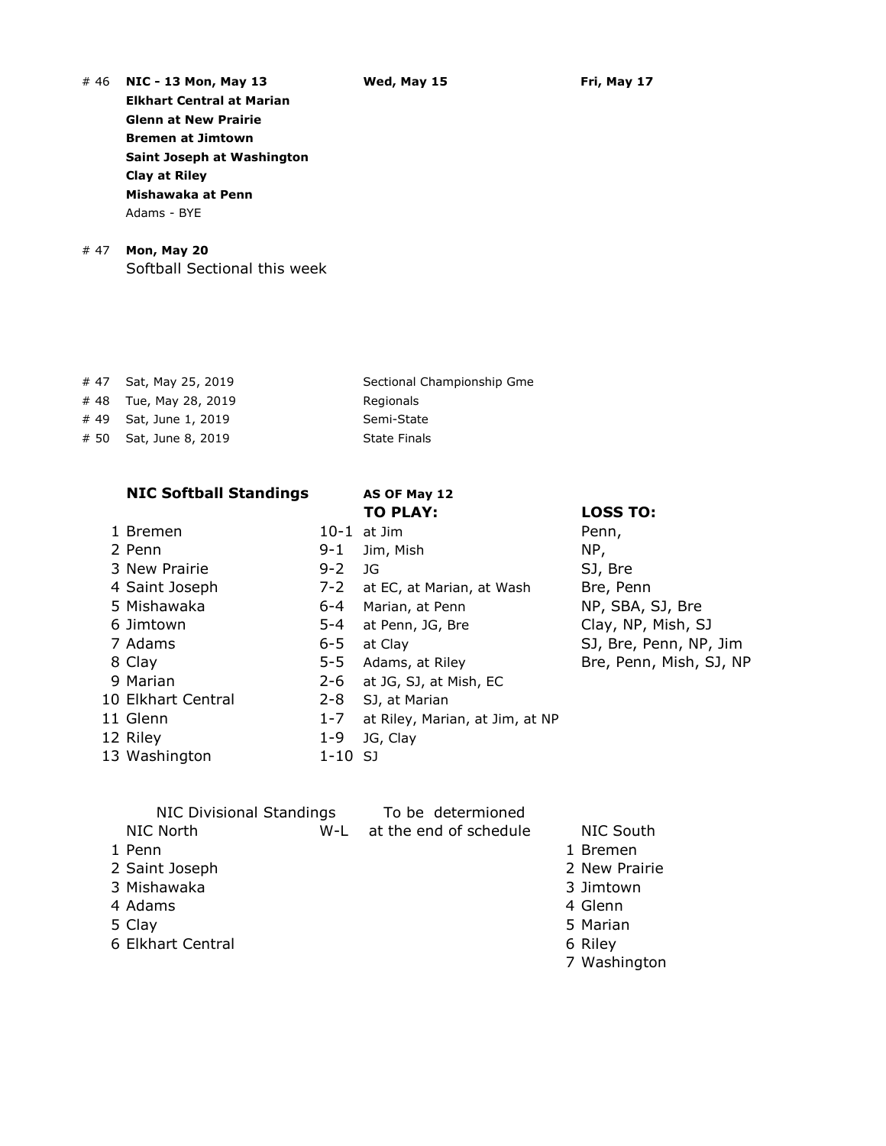Elkhart Central at Marian Glenn at New Prairie Bremen at Jimtown Saint Joseph at Washington Clay at Riley Mishawaka at Penn Adams - BYE

# # 47 Mon, May 20

Softball Sectional this week

# 48 Tue, May 28, 2019 Regionals # 49 Sat, June 1, 2019 Semi-State # 50 Sat, June 8, 2019 State Finals

# NIC Softball Standings AS OF May 12

# 9 Marian 10 Elkhart Central 2 12 Riley 1-13 Washington 1-10 SJ

# 47 Sat, May 25, 2019 Sectional Championship Gme

# TO PLAY: LOSS TO:

| 1 Bremen           |         | $10-1$ at Jim                   | Penn,                   |
|--------------------|---------|---------------------------------|-------------------------|
| 2 Penn             | 9-1     | Jim, Mish                       | NP,                     |
| 3 New Prairie      | $9 - 2$ | JG                              | SJ, Bre                 |
| 4 Saint Joseph     | 7-2     | at EC, at Marian, at Wash       | Bre, Penn               |
| 5 Mishawaka        | 6-4     | Marian, at Penn                 | NP, SBA, SJ, Bre        |
| 6 Jimtown          | 5-4     | at Penn, JG, Bre                | Clay, NP, Mish, SJ      |
| 7 Adams            | 6-5     | at Clay                         | SJ, Bre, Penn, NP, Jim  |
| 8 Clay             | $5 - 5$ | Adams, at Riley                 | Bre, Penn, Mish, SJ, NP |
| 9 Marian           | 2-6     | at JG, SJ, at Mish, EC          |                         |
| 10 Elkhart Central | $2 - 8$ | SJ, at Marian                   |                         |
| 11 Glenn           | $1 - 7$ | at Riley, Marian, at Jim, at NP |                         |
| 12 Riley           | $1 - 9$ | JG, Clay                        |                         |
| 13 Washington      | 1-10 SJ |                                 |                         |

|                   | <b>NIC Divisional Standings</b> | To be determioned      |               |
|-------------------|---------------------------------|------------------------|---------------|
| <b>NIC North</b>  | W-L                             | at the end of schedule | NIC South     |
| 1 Penn            |                                 |                        | 1 Bremen      |
| 2 Saint Joseph    |                                 |                        | 2 New Prairie |
| 3 Mishawaka       |                                 |                        | 3 Jimtown     |
| 4 Adams           |                                 |                        | 4 Glenn       |
| 5 Clay            |                                 |                        | 5 Marian      |
| 6 Elkhart Central |                                 |                        | 6 Riley       |
|                   |                                 |                        | 7 Washington  |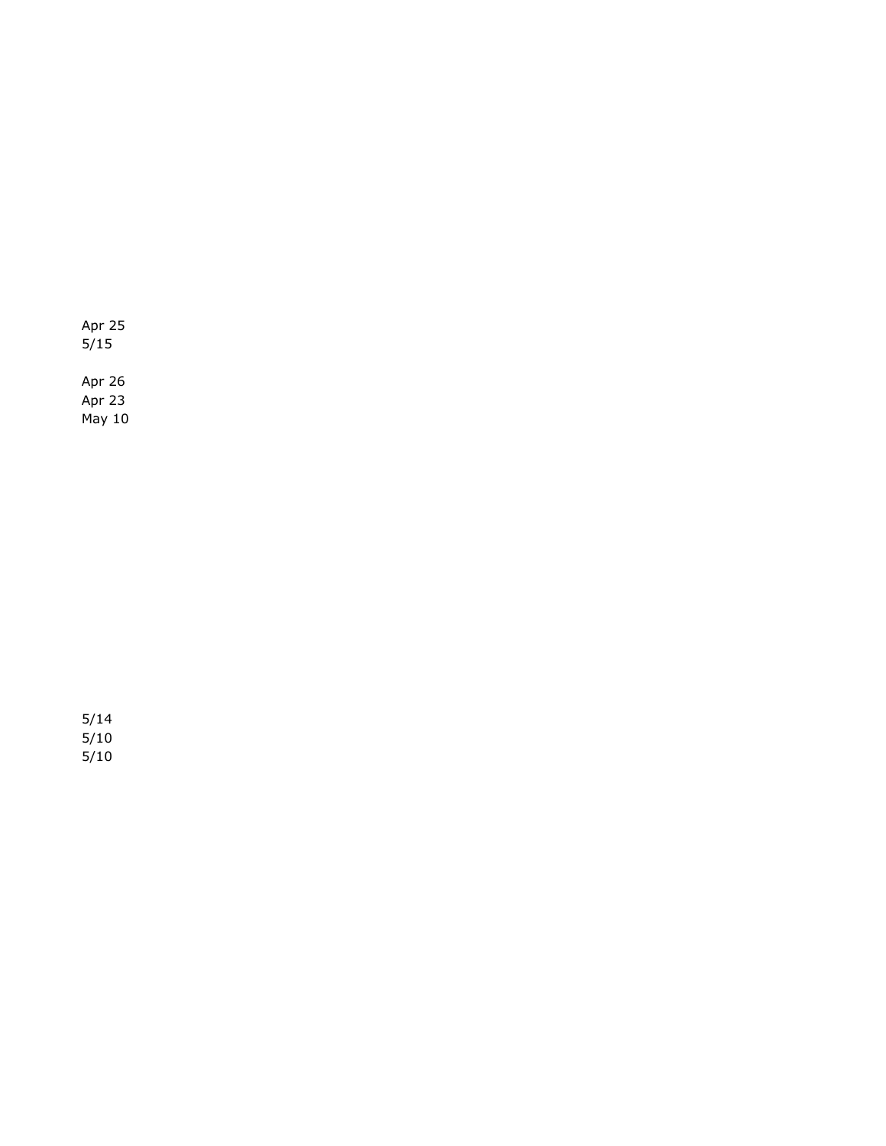Apr 25  $5/15$ Apr 26 Apr 23

May 10

5/14  $5/10$ 5/10